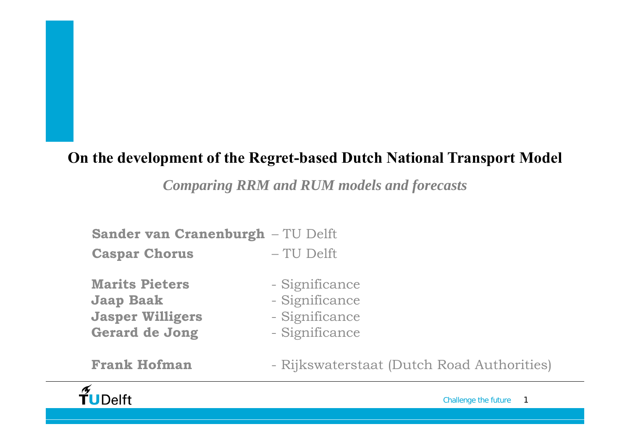#### **On the development of the Regret-based Dutch National Transport Model**

*Comparing RRM and RUM models and forecasts*

**Sander van Cranenburgh** – TU Delft

**Caspar Chorus** – TU Delft

**Marits Pieters** - Significance **Jaap Baak** - Significance **Jasper Willigers** - Significance Gerard de Jong - Significance

**Frank Hofman**

- 
- 
- 
- 

- Rijkswaterstaat (Dutch Road Authorities)

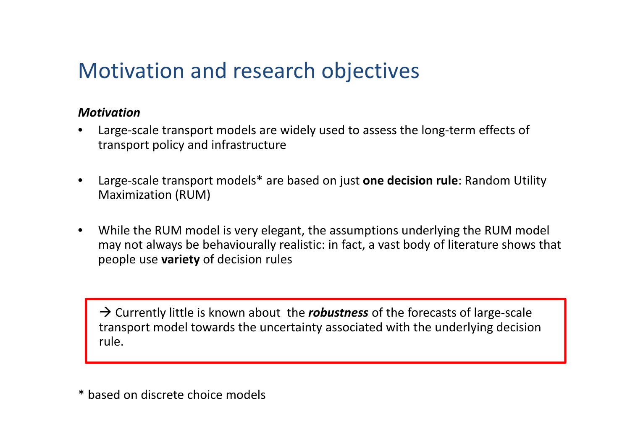## Motivation and research objectives

#### *Motivation*

- • Large‐scale transport models are widely used to assess the long‐term effects of transport policy and infrastructure
- • Large‐scale transport models\* are based on just **one decision rule**: Random Utility Maximization (RUM)
- $\bullet$  While the RUM model is very elegant, the assumptions underlying the RUM model may not always be behaviourally realistic: in fact, <sup>a</sup> vast body of literature shows that people use **variety** of decision rules

→ Currently little is known about the *robustness* of the forecasts of large-scale transport model towards the uncertainty associated with the underlying decision rule.

\* based on discrete choice models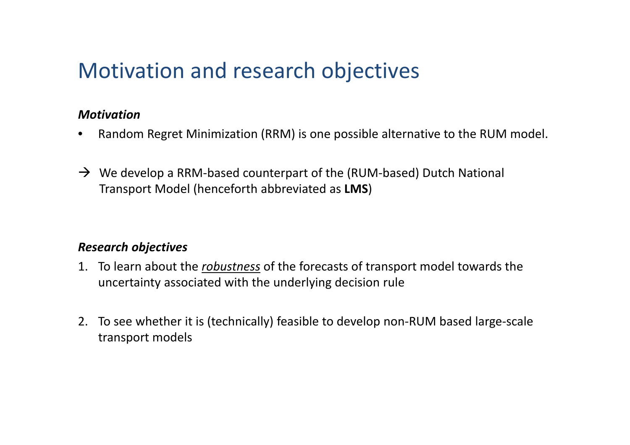## Motivation and research objectives

#### *Motivation*

- $\bullet$ Random Regret Minimization (RRM) is one possible alternative to the RUM model.
- $\rightarrow$  We develop a RRM-based counterpart of the (RUM-based) Dutch National Transport Model (henceforth abbreviated as **LMS**)

#### *Research objectives*

- 1. To learn about the *robustness* of the forecasts of transport model towards the uncertainty associated with the underlying decision rule
- 2. To see whether it is (technically) feasible to develop non‐RUM based large‐scale transport models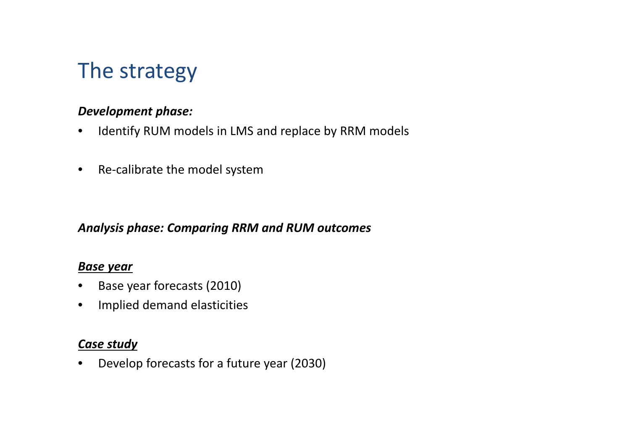## The strategy

#### *Development phase:*

- $\bullet$ Identify RUM models in LMS and replace by RRM models
- $\bullet$ ● Re-calibrate the model system

#### *Analysis phase: Comparing RRM and RUM outcomes*

#### *Base year*

- $\bullet$ Base year forecasts (2010)
- $\bullet$ Implied demand elasticities

#### *Case study*

 $\bullet$ Develop forecasts for <sup>a</sup> future year (2030)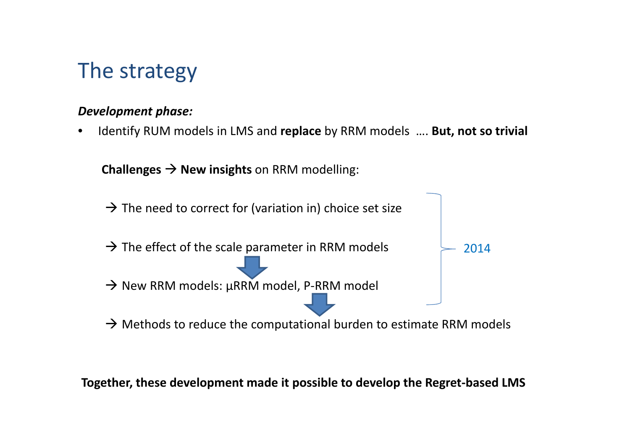## The strategy

#### *Development phase:*

•Identify RUM models in LMS and **replace** by RRM models …. **But, not so trivial**

**Challenges**  $\rightarrow$  **New insights** on RRM modelling:



**Together, these development made it possible to develop the Regret‐based LMS**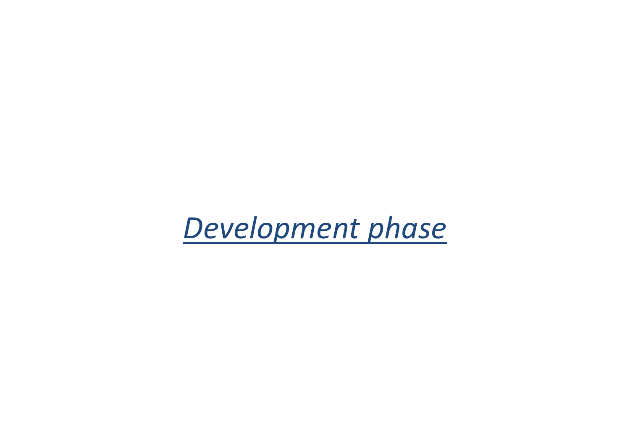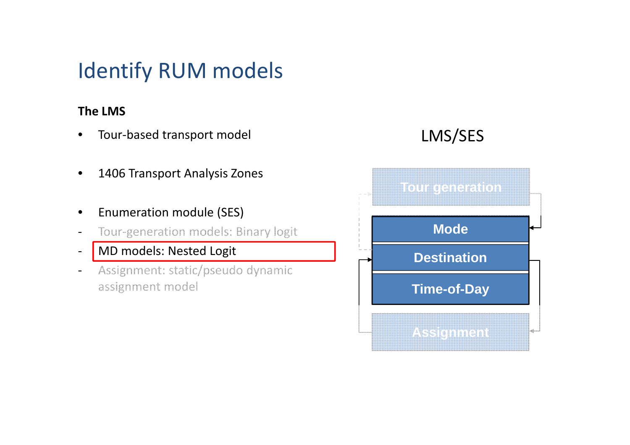## Identify RUM models

#### **The LMS**

- $\bullet$ ● Tour-based transport model
- •1406 Transport Analysis Zones
- $\bullet$ **•** Enumeration module (SES)
- $\qquad \qquad -$ Tour‐generation models: Binary logit
- $\overline{\phantom{a}}$ - MD models: Nested Logit
- $\overline{\phantom{a}}$  Assignment: static/pseudo dynamic assignment model

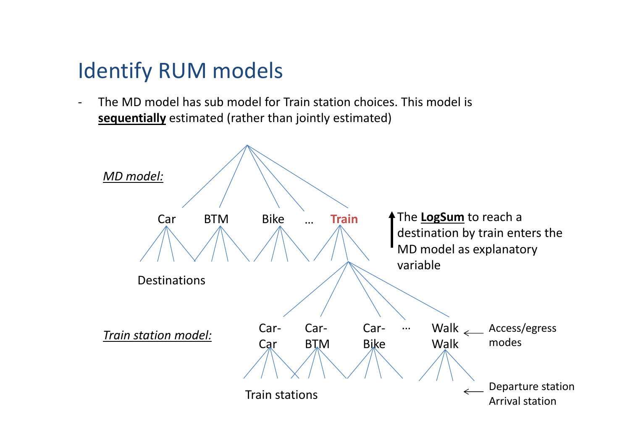## Identify RUM models

‐ The MD model has sub model for Train station choices. This model is **sequentially** estimated (rather than jointly estimated)

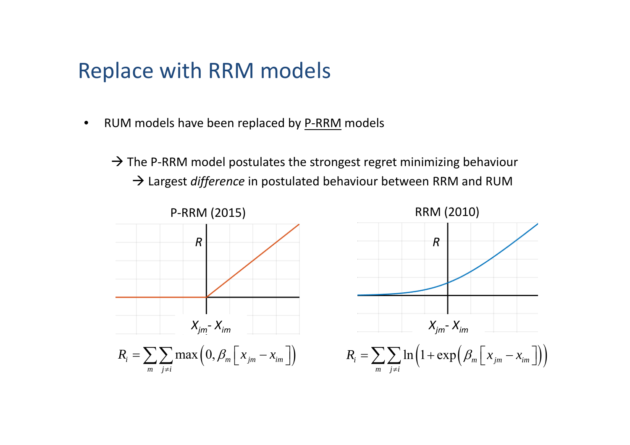•● RUM models have been replaced by P-RRM models

 $\rightarrow$  The P-RRM model postulates the strongest regret minimizing behaviour → Largest *difference* in postulated behaviour between RRM and RUM

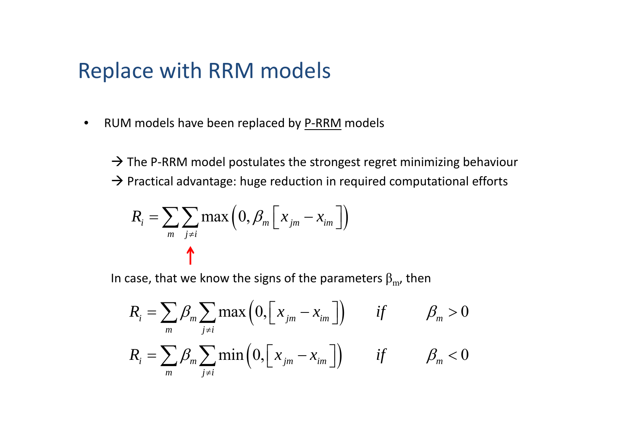$\bullet$ ● RUM models have been replaced by P-RRM models

 $\rightarrow$  The P-RRM model postulates the strongest regret minimizing behaviour  $\rightarrow$  Practical advantage: huge reduction in required computational efforts

$$
R_{i} = \sum_{m} \sum_{j \neq i} \max\left(0, \beta_{m} \left[x_{jm} - x_{im}\right]\right)
$$

In case, that we know the signs of the parameters  $\beta_{\rm m}$ , then

$$
R_{i} = \sum_{m} \beta_{m} \sum_{j \neq i} \max\left(0, \left[x_{jm} - x_{im}\right]\right) \quad \text{if} \quad \beta_{m} > 0
$$
  

$$
R_{i} = \sum_{m} \beta_{m} \sum_{j \neq i} \min\left(0, \left[x_{jm} - x_{im}\right]\right) \quad \text{if} \quad \beta_{m} < 0
$$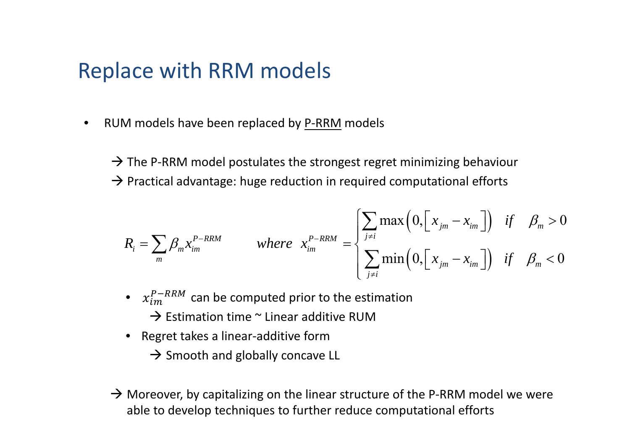•● RUM models have been replaced by P-RRM models

 $\rightarrow$  The P-RRM model postulates the strongest regret minimizing behaviour  $\rightarrow$  Practical advantage: huge reduction in required computational efforts

$$
R_{i} = \sum_{m} \beta_{m} x_{im}^{P-RRM} \qquad \text{where} \quad x_{im}^{P-RRM} = \begin{cases} \sum_{j \neq i} \max\left(0, \left[x_{jm} - x_{im}\right]\right) & \text{if} \quad \beta_{m} > 0\\ \sum_{j \neq i} \min\left(0, \left[x_{jm} - x_{im}\right]\right) & \text{if} \quad \beta_{m} < 0 \end{cases}
$$

- $x_{im}^{P-RRM}$  can be computed prior to the estimation  $\rightarrow$  Estimation time  $\sim$  Linear additive RUM
- Regret takes <sup>a</sup> linear‐additive form
	- $\rightarrow$  Smooth and globally concave LL
- $\rightarrow$  Moreover, by capitalizing on the linear structure of the P-RRM model we were able to develop techniques to further reduce computational efforts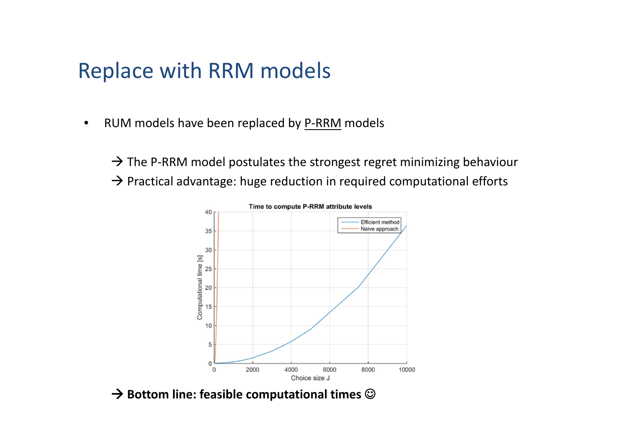$\bullet$ ● RUM models have been replaced by P-RRM models

 $\rightarrow$  The P-RRM model postulates the strongest regret minimizing behaviour  $\rightarrow$  Practical advantage: huge reduction in required computational efforts



 $\rightarrow$  Bottom line: feasible computational times  $\odot$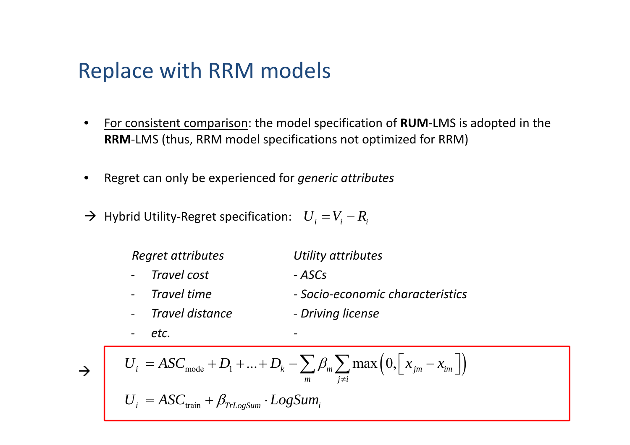- • For consistent comparison: the model specification of **RUM**‐LMS is adopted in the **RRM**‐LMS (thus, RRM model specifications not optimized for RRM)
- •Regret can only be experienced for *generic attributes*
- $\rightarrow$  Hybrid Utility-Regret specification:  $U_i = V_i R_i$

*Regret attributes Utility attributes*

- $\overline{\phantom{a}}$  *Travel cost‐ ASCs*
- *Travel time‐ Socio‐economic characteristics*
- ‐ *Travel distance‐ Driving license*
- *etc. ‐*

$$
\rightarrow
$$

$$
\rightarrow \qquad U_i = ASC_{\text{mode}} + D_1 + ... + D_k - \sum_{m} \beta_m \sum_{j \neq i} \max \left( 0, \left[ x_{jm} - x_{im} \right] \right)
$$

$$
U_i = ASC_{\text{train}} + \beta_{\text{TrLogSum}} \cdot LogSum_i
$$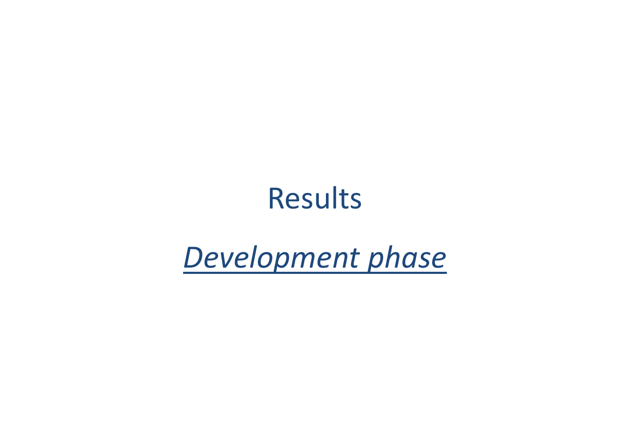# Results

# *Development phase*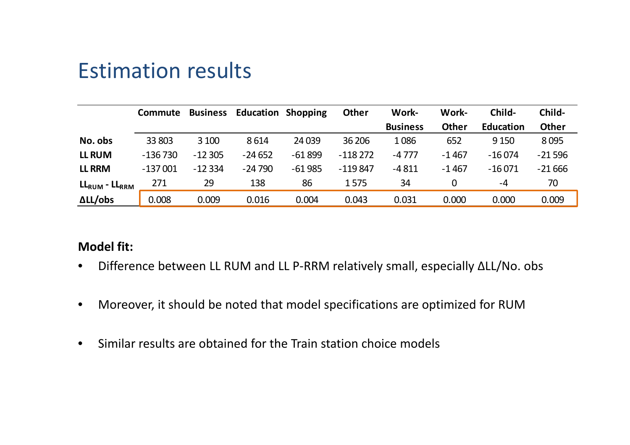## Estimation results

|                         | <b>Commute</b> | <b>Business</b> | <b>Education Shopping</b> |          | <b>Other</b> | Work-           | Work-        | Child-           | Child-       |
|-------------------------|----------------|-----------------|---------------------------|----------|--------------|-----------------|--------------|------------------|--------------|
|                         |                |                 |                           |          |              | <b>Business</b> | <b>Other</b> | <b>Education</b> | <b>Other</b> |
| No. obs                 | 33 803         | 3 100           | 8614                      | 24 0 39  | 36 206       | 1086            | 652          | 9 1 5 0          | 8095         |
| <b>LL RUM</b>           | $-136730$      | $-12305$        | $-24652$                  | $-61899$ | $-118272$    | $-4777$         | $-1467$      | $-16074$         | $-21596$     |
| <b>LL RRM</b>           | $-137001$      | $-12334$        | $-24790$                  | $-61985$ | $-119847$    | $-4811$         | $-1467$      | $-16071$         | $-21666$     |
| $LL_{RUM}$ - $LL_{RRM}$ | 271            | 29              | 138                       | 86       | 1575         | 34              | 0            | $-4$             | 70           |
| $\Delta L / obs$        | 0.008          | 0.009           | 0.016                     | 0.004    | 0.043        | 0.031           | 0.000        | 0.000            | 0.009        |

#### **Model fit:**

- Difference between LL RUM and LL P-RRM relatively small, especially ΔLL/No. obs
- $\bullet$ Moreover, it should be noted that model specifications are optimized for RUM
- $\bullet$ • Similar results are obtained for the Train station choice models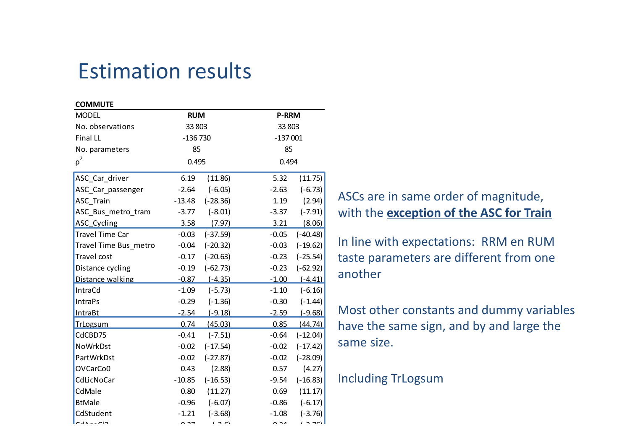## Estimation results

| <b>COMMUTE</b>         |               |            |                      |                |
|------------------------|---------------|------------|----------------------|----------------|
| <b>MODEL</b>           | <b>RUM</b>    |            | <b>P-RRM</b>         |                |
| No. observations       | 33 803        |            | 33 803               |                |
| Final LL               | $-136730$     |            | $-137001$            |                |
| No. parameters         | 85            |            | 85                   |                |
| $\rho^2$               | 0.495         |            | 0.494                |                |
| ASC_Car_driver         | 6.19          | (11.86)    | 5.32                 | (11.75)        |
| ASC_Car_passenger      | $-2.64$       | $(-6.05)$  | $-2.63$              | $(-6.73)$      |
| ASC_Train              | $-13.48$      | $(-28.36)$ | 1.19                 | (2.94)         |
| ASC_Bus_metro_tram     | $-3.77$       | $(-8.01)$  | $-3.37$              | $(-7.91)$      |
| ASC_Cycling            | 3.58          | (7.97)     | 3.21                 | (8.06)         |
| <b>Travel Time Car</b> | $-0.03$       | $(-37.59)$ | $-0.05$              | $(-40.48)$     |
| Travel Time Bus_metro  | $-0.04$       | $(-20.32)$ | $-0.03$              | $(-19.62)$     |
| Travel cost            | $-0.17$       | $(-20.63)$ | $-0.23$              | $(-25.54)$     |
| Distance cycling       | $-0.19$       | $(-62.73)$ | $-0.23$              | $(-62.92)$     |
| Distance walking       | $-0.87$       | $(-4.35)$  | $-1.00$              | $(-4.41)$      |
| IntraCd                | $-1.09$       | $(-5.73)$  | $-1.10$              | $(-6.16)$      |
| <b>IntraPs</b>         | $-0.29$       | $(-1.36)$  | $-0.30$              | $(-1.44)$      |
| <b>IntraBt</b>         | $-2.54$       | $(-9.18)$  | $-2.59$              | $(-9.68)$      |
| <b>TrLogsum</b>        | 0.74          | (45.03)    | 0.85                 | (44.74)        |
| CdCBD75                | $-0.41$       | $(-7.51)$  | $-0.64$              | $(-12.04)$     |
| <b>NoWrkDst</b>        | $-0.02$       | $(-17.54)$ | $-0.02$              | $(-17.42)$     |
| PartWrkDst             | $-0.02$       | $(-27.87)$ | $-0.02$              | $(-28.09)$     |
| OVCarCo0               | 0.43          | (2.88)     | 0.57                 | (4.27)         |
| CdLicNoCar             | $-10.85$      | $(-16.53)$ | $-9.54$              | $(-16.83)$     |
| CdMale                 | 0.80          | (11.27)    | 0.69                 | (11.17)        |
| <b>BtMale</b>          | $-0.96$       | $(-6.07)$  | $-0.86$              | $(-6.17)$      |
| CdStudent              | $-1.21$       | $(-3.68)$  | $-1.08$              | $(-3.76)$      |
| $\mathsf{P}$           | $\sim$ $\sim$ | 121        | $\sim$ $\sim$ $\sim$ | $\overline{2}$ |

ASCs are in same order of magnitude, with the **exception of the ASC for Train**

In line with expectations: RRM en RUM taste parameters are different from one another

Most other constants and dummy variables have the same sign, and by and large the same size.

#### Including TrLogsum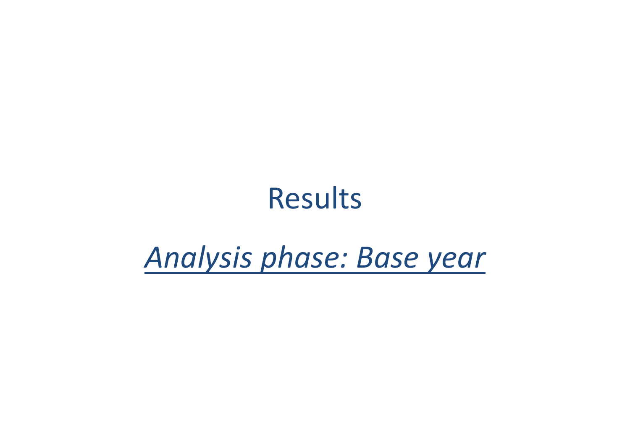# Results

# *Analysis phase: Base year*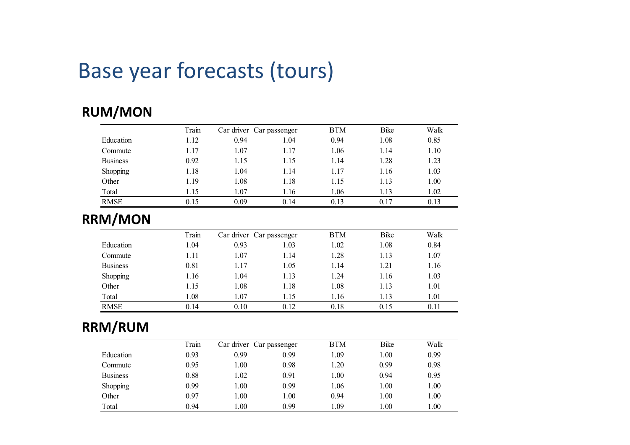## Base year forecasts (tours)

#### **RUM/MON**

|                 | Train | Car driver Car passenger |      | <b>BTM</b> | Bike | Walk |
|-----------------|-------|--------------------------|------|------------|------|------|
| Education       | 1.12  | 0.94                     | 1.04 | 0.94       | 1.08 | 0.85 |
| Commute         | 1.17  | 1.07                     | 1.17 | 1.06       | 1.14 | 1.10 |
| <b>Business</b> | 0.92  | 1.15                     | 1.15 | 1.14       | 1.28 | 1.23 |
| Shopping        | 1.18  | .04                      | 1.14 | 1.17       | 1.16 | 1.03 |
| Other           | 1.19  | 1.08                     | 1.18 | 1.15       | 1.13 | 1.00 |
| Total           | 1.15  | 1.07                     | 1.16 | 1.06       | 1.13 | 1.02 |
| <b>RMSE</b>     | 0.15  | 0.09                     | 0.14 | 0.13       | 0.17 | 0.13 |

#### **RRM/MON**

|                 | Train | Car driver Car passenger |      | <b>BTM</b> | Bike | Walk |
|-----------------|-------|--------------------------|------|------------|------|------|
| Education       | 1.04  | 0.93                     | 1.03 | 1.02       | 1.08 | 0.84 |
| Commute         | 1.11  | 1.07                     | 1.14 | 1.28       | 1.13 | 1.07 |
| <b>Business</b> | 0.81  | 1.17                     | 1.05 | 1.14       | 1.21 | 1.16 |
| Shopping        | 1.16  | 1.04                     | 1.13 | 1.24       | 1.16 | 1.03 |
| Other           | 1.15  | 1.08                     | 1.18 | 1.08       | 1.13 | 1.01 |
| Total           | 1.08  | 1.07                     | 1.15 | 1.16       | 1.13 | 1.01 |
| <b>RMSE</b>     | 0.14  | 0.10                     | 0.12 | 0.18       | 0.15 | 0.11 |

#### **RRM/RUM**

|                 | Train | Car driver Car passenger |      | <b>BTM</b> | <b>B</b> ike | Walk     |
|-----------------|-------|--------------------------|------|------------|--------------|----------|
| Education       | 0.93  | 0.99                     | 0.99 | 1.09       | 1.00         | 0.99     |
| Commute         | 0.95  | 00.1                     | 0.98 | 1.20       | 0.99         | 0.98     |
| <b>Business</b> | 0.88  | 1.02                     | 0.91 | 1.00       | 0.94         | 0.95     |
| <b>Shopping</b> | 0.99  | 1.00                     | 0.99 | l.06       | 1.00         | $1.00\,$ |
| Other           | 0.97  | 00.1                     | 1.00 | 0.94       | 1.00         | 1.00     |
| Total           | 0.94  | 00.1                     | 0.99 | 1.09       | 00.1         | 1.00     |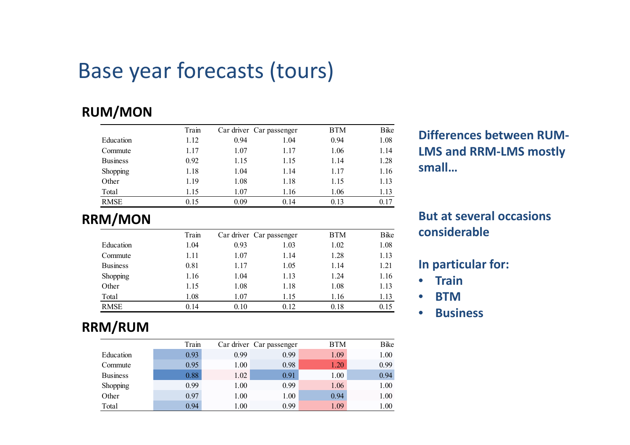## Base year forecasts (tours)

#### **RUM/MON**

|                 | Train | Car driver Car passenger |      | <b>BTM</b> | Bike |                                 |
|-----------------|-------|--------------------------|------|------------|------|---------------------------------|
| Education       | 1.12  | 0.94                     | 1.04 | 0.94       | 1.08 | <b>Differences between RUM-</b> |
| Commute         | 1.17  | 1.07                     | 1.17 | 1.06       | 1.14 | <b>LMS and RRM-LMS mostly</b>   |
| <b>Business</b> | 0.92  | 1.15                     | 1.15 | 1.14       | 1.28 |                                 |
| Shopping        | 1.18  | 0.04                     | 1.14 | 1.17       | 1.16 | small                           |
| Other           | 1.19  | 0.08                     | 1.18 | 1.15       | 1.13 |                                 |
| Total           | 1.15  | 07                       | 1.16 | 1.06       | 1.13 |                                 |
| <b>RMSE</b>     | 0.15  | 0.09                     | 0.14 | 0.13       | 0.17 |                                 |

**RRM/MON**

|                 | Train | Car driver Car passenger |      | <b>BTM</b> | <b>B</b> ike | considerable           |
|-----------------|-------|--------------------------|------|------------|--------------|------------------------|
| Education       | 1.04  | 0.93                     | 1.03 | 1.02       | 1.08         |                        |
| Commute         | 1.11  | 1.07                     | 1.14 | 1.28       | 1.13         |                        |
| <b>Business</b> | 0.81  | 1.17                     | 1.05 | 1.14       | 1.21         | In particular for:     |
| Shopping        | 1.16  | 1.04                     | 1.13 | 1.24       | 1.16         | Train                  |
| Other           | 1.15  | 1.08                     | 1.18 | 1.08       | 1.13         |                        |
| Total           | 1.08  | l.07                     | 1.15 | 1.16       | 1.13         | <b>BTM</b>             |
| <b>RMSE</b>     | 0.14  | 0.10                     | 0.12 | 0.18       | 0.15         | <b>D</b> ought and the |

#### **RRM/RUM**

|                 | Train |        | Car driver Car passenger | <b>BTM</b> | <b>B</b> ike |
|-----------------|-------|--------|--------------------------|------------|--------------|
| Education       | 0.93  | 0.99   | 0.99                     | 1.09       | 1.00         |
| Commute         | 0.95  | $00$ . | 0.98                     | 1.20       | 0.99         |
| <b>Business</b> | 0.88  | 1.02   | 0.91                     | 1.00       | 0.94         |
| Shopping        | 0.99  | 00.1   | 0.99                     | 1.06       | 1.00         |
| Other           | 0.97  | 00.1   | 1.00                     | 0.94       | 1.00         |
| Total           | 0.94  | 00.1   | 0.99                     | 1.09       | 1.00         |

# **But at several occasions**

- $\bullet$ **•** Train
- $\bullet$ **BTM**
- **Business**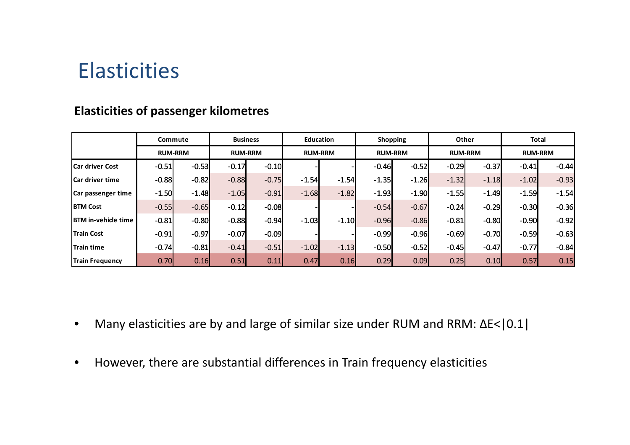## Elasticities

|                            | Commute<br><b>RUM-RRM</b> |         | <b>Business</b> |         |                | Education |                | <b>Shopping</b> | Other          |         | Total          |         |
|----------------------------|---------------------------|---------|-----------------|---------|----------------|-----------|----------------|-----------------|----------------|---------|----------------|---------|
|                            |                           |         | <b>RUM-RRM</b>  |         | <b>RUM-RRM</b> |           | <b>RUM-RRM</b> |                 | <b>RUM-RRM</b> |         | <b>RUM-RRM</b> |         |
| <b>Car driver Cost</b>     | $-0.51$                   | $-0.53$ | $-0.17$         | $-0.10$ |                |           | $-0.46$        | $-0.52$         | $-0.29$        | $-0.37$ | $-0.41$        | $-0.44$ |
| <b>Car driver time</b>     | $-0.88$                   | $-0.82$ | $-0.88$         | $-0.75$ | $-1.54$        | $-1.54$   | $-1.35$        | $-1.26$         | $-1.32$        | $-1.18$ | $-1.02$        | $-0.93$ |
| Car passenger time         | $-1.50$                   | $-1.48$ | $-1.05$         | $-0.91$ | $-1.68$        | $-1.82$   | $-1.93$        | $-1.90$         | $-1.55$        | $-1.49$ | $-1.59$        | $-1.54$ |
| <b>BTM Cost</b>            | $-0.55$                   | $-0.65$ | $-0.12$         | $-0.08$ |                |           | $-0.54$        | $-0.67$         | $-0.24$        | $-0.29$ | $-0.30$        | $-0.36$ |
| <b>BTM</b> in-vehicle time | $-0.81$                   | $-0.80$ | $-0.88$         | $-0.94$ | $-1.03$        | $-1.10$   | $-0.96$        | $-0.86$         | $-0.81$        | $-0.80$ | $-0.90$        | $-0.92$ |
| <b>Train Cost</b>          | $-0.91$                   | $-0.97$ | $-0.07$         | $-0.09$ |                |           | $-0.99$        | $-0.96$         | $-0.69$        | $-0.70$ | $-0.59$        | $-0.63$ |
| <b>Train time</b>          | $-0.74$                   | $-0.81$ | $-0.41$         | $-0.51$ | $-1.02$        | $-1.13$   | $-0.50$        | $-0.52$         | $-0.45$        | $-0.47$ | $-0.77$        | $-0.84$ |
| <b>Train Frequency</b>     | 0.70                      | 0.16    | 0.51            | 0.11    | 0.47           | 0.16      | 0.29           | 0.09            | 0.25           | 0.10    | 0.57           | 0.15    |

#### **Elasticities of passenger kilometres**

- $\bullet$ Many elasticities are by and large of similar size under RUM and RRM: ΔE<|0.1|
- $\bullet$ However, there are substantial differences in Train frequency elasticities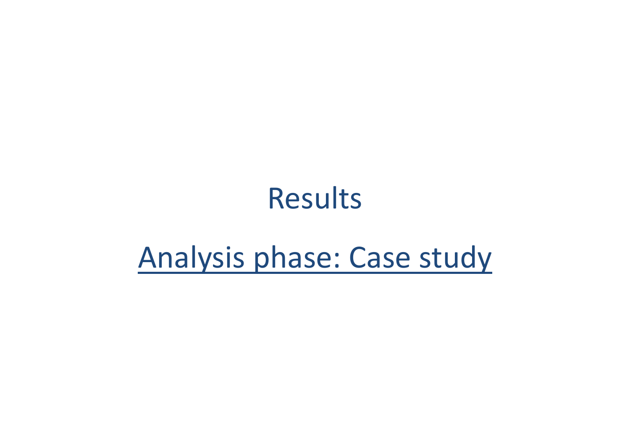# Results

# Analysis phase: Case study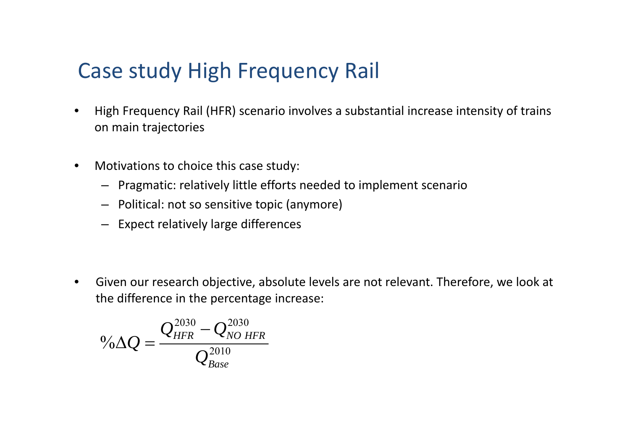- $\bullet$  High Frequency Rail (HFR) scenario involves <sup>a</sup> substantial increase intensity of trains on main trajectories
- $\bullet$  Motivations to choice this case study:
	- Pragmatic: relatively little efforts needed to implement scenario
	- Political: not so sensitive topic (anymore)
	- Expect relatively large differences

 $\bullet$  Given our research objective, absolute levels are not relevant. Therefore, we look at the difference in the percentage increase:

$$
{}^{0}\!\!\!/\Omega Q=\frac{Q_{HFR}^{2030}-Q_{NO~HFR}^{2030}}{Q_{Base}^{2010}}
$$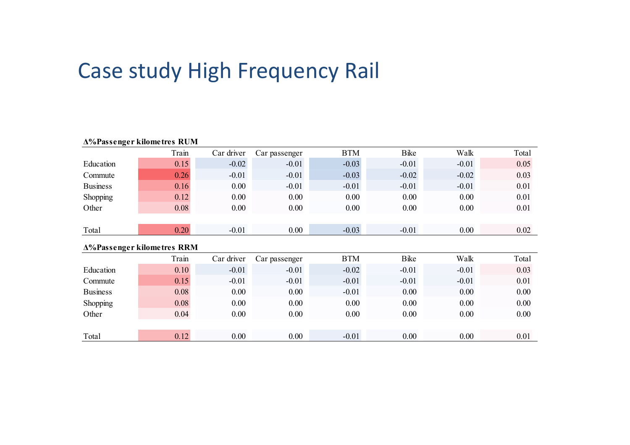|                 | <b>A%Passenger kilometres RUM</b> |            |               |            |              |         |       |
|-----------------|-----------------------------------|------------|---------------|------------|--------------|---------|-------|
|                 | Train                             | Car driver | Car passenger | <b>BTM</b> | <b>B</b> ike | Walk    | Total |
| Education       | 0.15                              | $-0.02$    | $-0.01$       | $-0.03$    | $-0.01$      | $-0.01$ | 0.05  |
| Commute         | 0.26                              | $-0.01$    | $-0.01$       | $-0.03$    | $-0.02$      | $-0.02$ | 0.03  |
| <b>Business</b> | 0.16                              | 0.00       | $-0.01$       | $-0.01$    | $-0.01$      | $-0.01$ | 0.01  |
| Shopping        | 0.12                              | 0.00       | 0.00          | 0.00       | 0.00         | 0.00    | 0.01  |
| Other           | 0.08                              | 0.00       | 0.00          | 0.00       | 0.00         | 0.00    | 0.01  |
|                 |                                   |            |               |            |              |         |       |
| Total           | 0.20                              | $-0.01$    | 0.00          | $-0.03$    | $-0.01$      | 0.00    | 0.02  |
|                 | <b>A%Passenger kilometres RRM</b> |            |               |            |              |         |       |
|                 | Train                             | Car driver | Car passenger | <b>BTM</b> | Bike         | Walk    | Total |
| Education       | 0.10                              | $-0.01$    | $-0.01$       | $-0.02$    | $-0.01$      | $-0.01$ | 0.03  |
| Commute         | 0.15                              | $-0.01$    | $-0.01$       | $-0.01$    | $-0.01$      | $-0.01$ | 0.01  |
| <b>Business</b> | 0.08                              | 0.00       | 0.00          | $-0.01$    | 0.00         | 0.00    | 0.00  |
| Shopping        | 0.08                              | 0.00       | 0.00          | 0.00       | 0.00         | 0.00    | 0.00  |
| Other           | 0.04                              | 0.00       | 0.00          | 0.00       | 0.00         | 0.00    | 0.00  |
|                 |                                   |            |               |            |              |         |       |
| Total           | 0.12                              | 0.00       | 0.00          | $-0.01$    | 0.00         | 0.00    | 0.01  |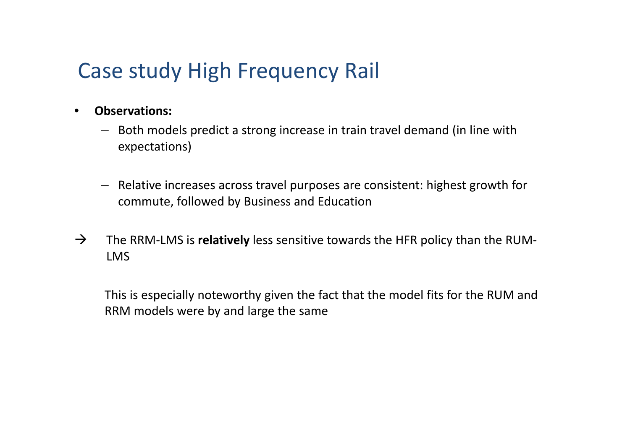- $\bullet$  **Observations:**
	- Both models predict <sup>a</sup> strong increase in train travel demand (in line with expectations)
	- Relative increases across travel purposes are consistent: highest growth for commute, followed by Business and Education
- $\rightarrow$  The RRM‐LMS is **relatively** less sensitive towards the HFR policy than the RUM‐ LMS

This is especially noteworthy given the fact that the model fits for the RUM and RRM models were by and large the same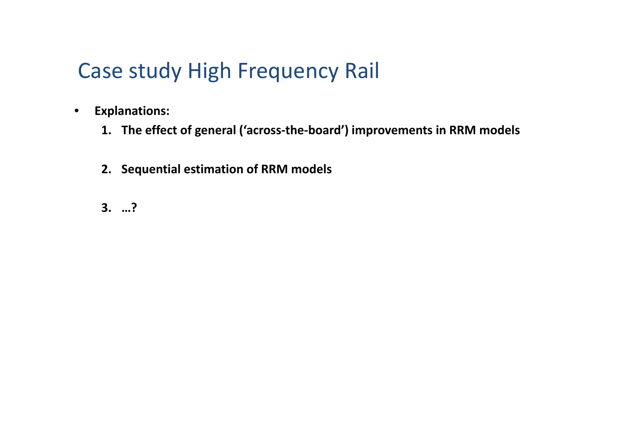- $\bullet$  **Explanations:**
	- **1. The effect of general ('across‐the‐board') improvements in RRM models**
	- **2. Sequential estimation of RRM models**
	- **3. …?**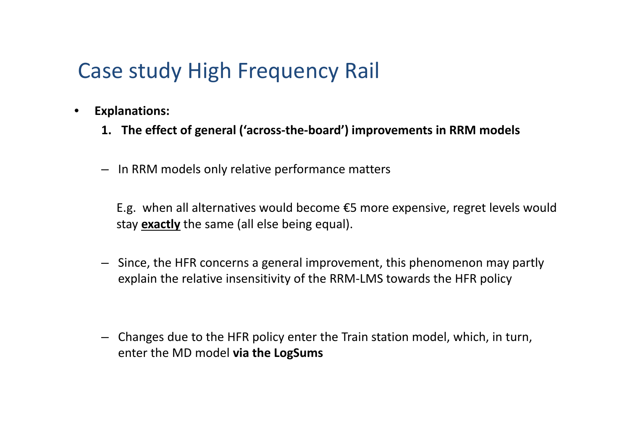- $\bullet$  **Explanations:**
	- **1. The effect of general ('across‐the‐board') improvements in RRM models**
	- In RRM models only relative performance matters

E.g. when all alternatives would become €5 more expensive, regret levels would stay **exactly** the same (all else being equal).

- Since, the HFR concerns <sup>a</sup> general improvement, this phenomenon may partly explain the relative insensitivity of the RRM‐LMS towards the HFR policy
- Changes due to the HFR policy enter the Train station model, which, in turn, enter the MD model **via the LogSums**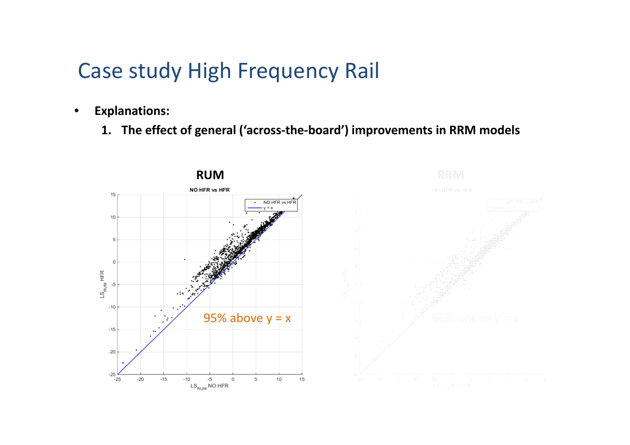- $\bullet$  **Explanations:**
	- **1. The effect of general ('across‐the‐board') improvements in RRM models**



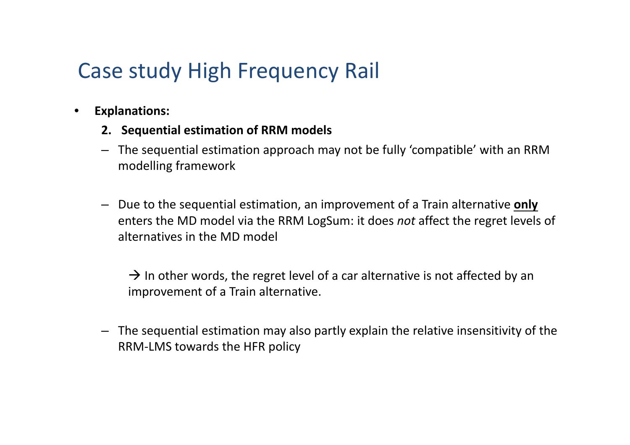- $\bullet$  **Explanations:**
	- **2. Sequential estimation of RRM models**
	- The sequential estimation approach may not be fully 'compatible' with an RRM modelling framework
	- Due to the sequential estimation, an improvement of <sup>a</sup> Train alternative **only** enters the MD model via the RRM LogSum: it does *not* affect the regret levels of alternatives in the MD model

 $\rightarrow$  In other words, the regret level of a car alternative is not affected by an improvement of <sup>a</sup> Train alternative.

– The sequential estimation may also partly explain the relative insensitivity of the RRM‐LMS towards the HFR policy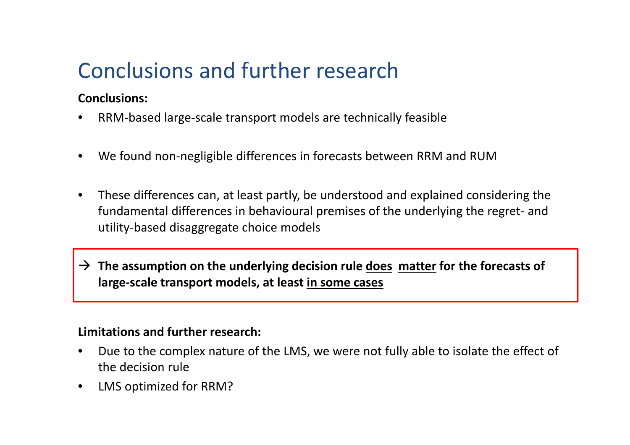## Conclusions and further research

#### **Conclusions:**

- $\bullet$ ● RRM-based large-scale transport models are technically feasible
- •We found non‐negligible differences in forecasts between RRM and RUM
- $\bullet$  These differences can, at least partly, be understood and explained considering the fundamental differences in behavioural premises of the underlying the regret‐ and utility‐based disaggregate choice models

 **The assumption on the underlying decision rule does matter for the forecasts of large‐scale transport models, at least in some cases**

#### **Limitations and further research:**

- •• Due to the complex nature of the LMS, we were not fully able to isolate the effect of the decision rule
- •LMS optimized for RRM?